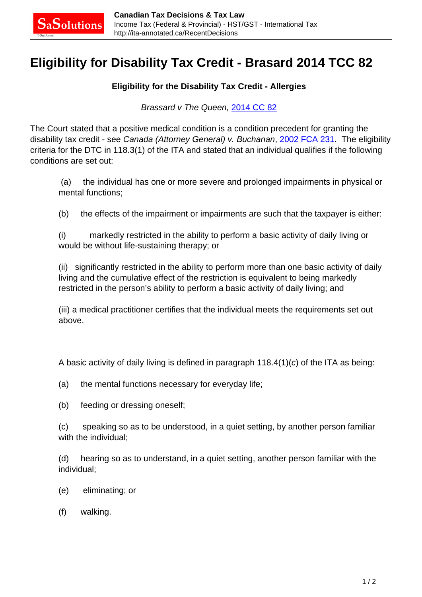## **Eligibility for Disability Tax Credit - Brasard 2014 TCC 82**

## **Eligibility for the Disability Tax Credit - Allergies**

Brassard v The Queen, [2014 CC 82](http://decision.tcc-cci.gc.ca/tcc-cci/decisions/en/item/67309/index.do)

The Court stated that a positive medical condition is a condition precedent for granting the disability tax credit - see Canada (Attorney General) v. Buchanan, [2002 FCA 231](http://canlii.ca/t/4j0x). The eligibility criteria for the DTC in 118.3(1) of the ITA and stated that an individual qualifies if the following conditions are set out:

 (a) the individual has one or more severe and prolonged impairments in physical or mental functions;

(b) the effects of the impairment or impairments are such that the taxpayer is either:

(i) markedly restricted in the ability to perform a basic activity of daily living or would be without life-sustaining therapy; or

(ii) significantly restricted in the ability to perform more than one basic activity of daily living and the cumulative effect of the restriction is equivalent to being markedly restricted in the person's ability to perform a basic activity of daily living; and

(iii) a medical practitioner certifies that the individual meets the requirements set out above.

A basic activity of daily living is defined in paragraph  $118.4(1)(c)$  of the ITA as being:

- (a) the mental functions necessary for everyday life;
- (b) feeding or dressing oneself;

(c) speaking so as to be understood, in a quiet setting, by another person familiar with the individual;

(d) hearing so as to understand, in a quiet setting, another person familiar with the individual;

- (e) eliminating; or
- (f) walking.